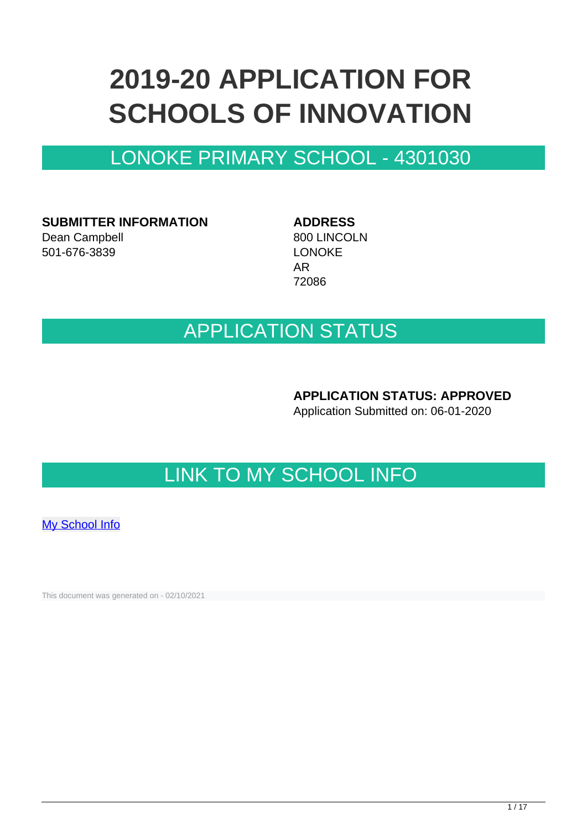# **2019-20 APPLICATION FOR SCHOOLS OF INNOVATION**

## LONOKE PRIMARY SCHOOL - 4301030

**SUBMITTER INFORMATION** Dean Campbell 501-676-3839

**ADDRESS** 800 LINCOLN LONOKE AR 72086

## APPLICATION STATUS

**APPLICATION STATUS: APPROVED**

Application Submitted on: 06-01-2020

## LINK TO MY SCHOOL INFO

[My School Info](https://myschoolinfo.arkansas.gov/Schools/Search?OperationContext=None&SearchFlag=School&Query=4301030)

This document was generated on - 02/10/2021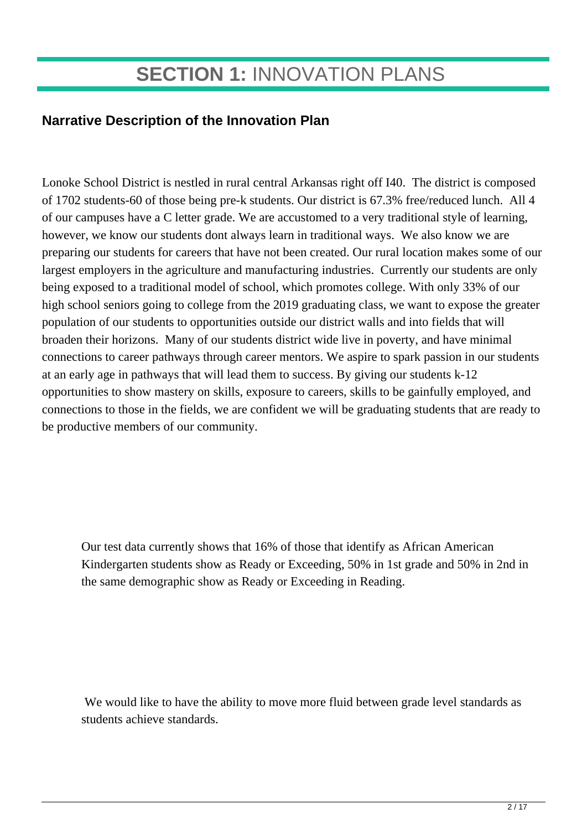## **SECTION 1:** INNOVATION PLANS

### **Narrative Description of the Innovation Plan**

Lonoke School District is nestled in rural central Arkansas right off I40. The district is composed of 1702 students-60 of those being pre-k students. Our district is 67.3% free/reduced lunch. All 4 of our campuses have a C letter grade. We are accustomed to a very traditional style of learning, however, we know our students dont always learn in traditional ways. We also know we are preparing our students for careers that have not been created. Our rural location makes some of our largest employers in the agriculture and manufacturing industries. Currently our students are only being exposed to a traditional model of school, which promotes college. With only 33% of our high school seniors going to college from the 2019 graduating class, we want to expose the greater population of our students to opportunities outside our district walls and into fields that will broaden their horizons. Many of our students district wide live in poverty, and have minimal connections to career pathways through career mentors. We aspire to spark passion in our students at an early age in pathways that will lead them to success. By giving our students k-12 opportunities to show mastery on skills, exposure to careers, skills to be gainfully employed, and connections to those in the fields, we are confident we will be graduating students that are ready to be productive members of our community.

Our test data currently shows that 16% of those that identify as African American Kindergarten students show as Ready or Exceeding, 50% in 1st grade and 50% in 2nd in the same demographic show as Ready or Exceeding in Reading.

 We would like to have the ability to move more fluid between grade level standards as students achieve standards.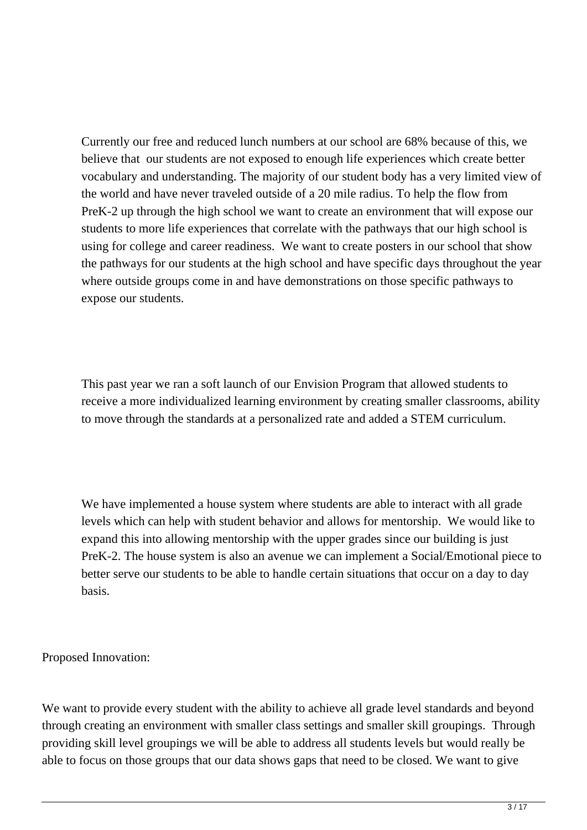Currently our free and reduced lunch numbers at our school are 68% because of this, we believe that our students are not exposed to enough life experiences which create better vocabulary and understanding. The majority of our student body has a very limited view of the world and have never traveled outside of a 20 mile radius. To help the flow from PreK-2 up through the high school we want to create an environment that will expose our students to more life experiences that correlate with the pathways that our high school is using for college and career readiness. We want to create posters in our school that show the pathways for our students at the high school and have specific days throughout the year where outside groups come in and have demonstrations on those specific pathways to expose our students.

This past year we ran a soft launch of our Envision Program that allowed students to receive a more individualized learning environment by creating smaller classrooms, ability to move through the standards at a personalized rate and added a STEM curriculum.

We have implemented a house system where students are able to interact with all grade levels which can help with student behavior and allows for mentorship. We would like to expand this into allowing mentorship with the upper grades since our building is just PreK-2. The house system is also an avenue we can implement a Social/Emotional piece to better serve our students to be able to handle certain situations that occur on a day to day basis.

Proposed Innovation:

We want to provide every student with the ability to achieve all grade level standards and beyond through creating an environment with smaller class settings and smaller skill groupings. Through providing skill level groupings we will be able to address all students levels but would really be able to focus on those groups that our data shows gaps that need to be closed. We want to give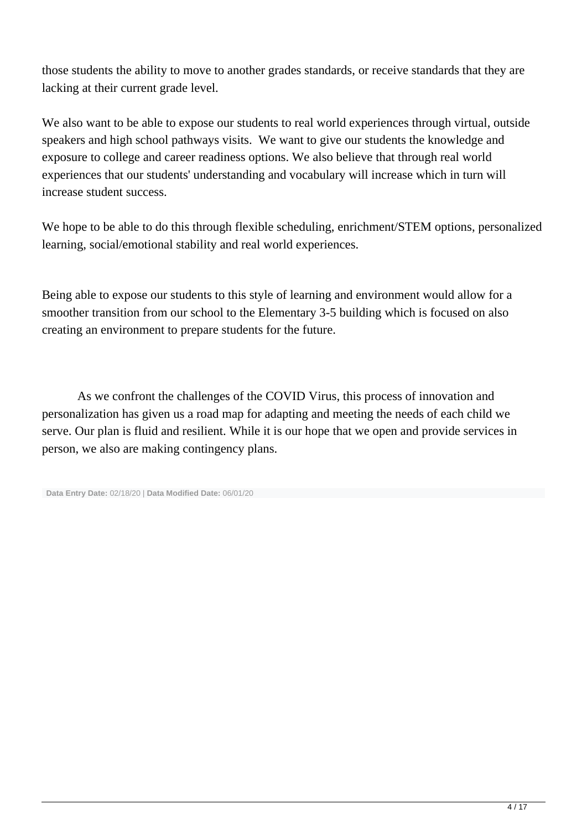those students the ability to move to another grades standards, or receive standards that they are lacking at their current grade level.

We also want to be able to expose our students to real world experiences through virtual, outside speakers and high school pathways visits. We want to give our students the knowledge and exposure to college and career readiness options. We also believe that through real world experiences that our students' understanding and vocabulary will increase which in turn will increase student success.

We hope to be able to do this through flexible scheduling, enrichment/STEM options, personalized learning, social/emotional stability and real world experiences.

Being able to expose our students to this style of learning and environment would allow for a smoother transition from our school to the Elementary 3-5 building which is focused on also creating an environment to prepare students for the future.

As we confront the challenges of the COVID Virus, this process of innovation and personalization has given us a road map for adapting and meeting the needs of each child we serve. Our plan is fluid and resilient. While it is our hope that we open and provide services in person, we also are making contingency plans.

```
 Data Entry Date: 02/18/20 | Data Modified Date: 06/01/20
```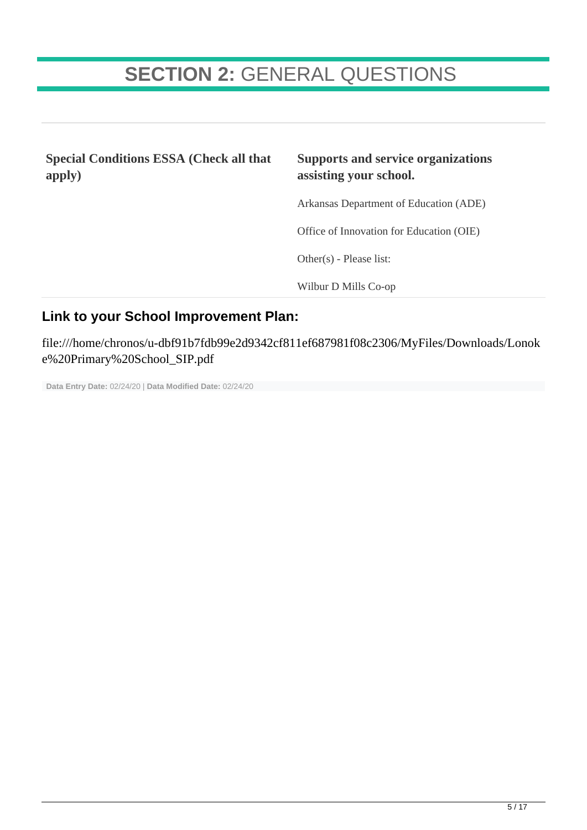## **SECTION 2:** GENERAL QUESTIONS

**Special Conditions ESSA (Check all that apply) Supports and service organizations assisting your school.** Arkansas Department of Education (ADE) Office of Innovation for Education (OIE) Other(s) - Please list: Wilbur D Mills Co-op

#### **Link to your School Improvement Plan:**

file:///home/chronos/u-dbf91b7fdb99e2d9342cf811ef687981f08c2306/MyFiles/Downloads/Lonok e%20Primary%20School\_SIP.pdf

**Data Entry Date:** 02/24/20 | **Data Modified Date:** 02/24/20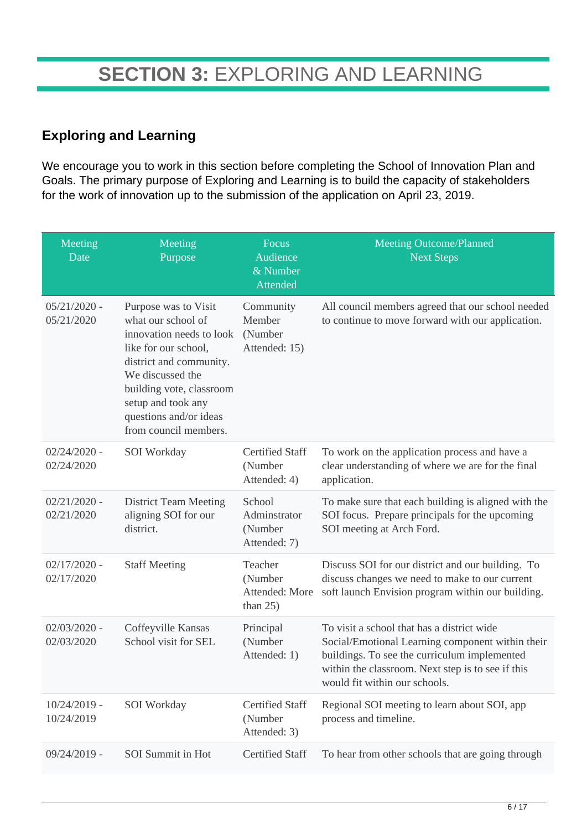### **Exploring and Learning**

We encourage you to work in this section before completing the School of Innovation Plan and Goals. The primary purpose of Exploring and Learning is to build the capacity of stakeholders for the work of innovation up to the submission of the application on April 23, 2019.

| Meeting<br>Date              | Meeting<br>Purpose                                                                                                                                                                                                                                 | Focus<br>Audience<br>& Number<br>Attended           | <b>Meeting Outcome/Planned</b><br><b>Next Steps</b>                                                                                                                                                                                  |
|------------------------------|----------------------------------------------------------------------------------------------------------------------------------------------------------------------------------------------------------------------------------------------------|-----------------------------------------------------|--------------------------------------------------------------------------------------------------------------------------------------------------------------------------------------------------------------------------------------|
| $05/21/2020$ -<br>05/21/2020 | Purpose was to Visit<br>what our school of<br>innovation needs to look<br>like for our school,<br>district and community.<br>We discussed the<br>building vote, classroom<br>setup and took any<br>questions and/or ideas<br>from council members. | Community<br>Member<br>(Number<br>Attended: 15)     | All council members agreed that our school needed<br>to continue to move forward with our application.                                                                                                                               |
| $02/24/2020$ -<br>02/24/2020 | SOI Workday                                                                                                                                                                                                                                        | <b>Certified Staff</b><br>(Number<br>Attended: 4)   | To work on the application process and have a<br>clear understanding of where we are for the final<br>application.                                                                                                                   |
| $02/21/2020$ -<br>02/21/2020 | <b>District Team Meeting</b><br>aligning SOI for our<br>district.                                                                                                                                                                                  | School<br>Adminstrator<br>(Number<br>Attended: 7)   | To make sure that each building is aligned with the<br>SOI focus. Prepare principals for the upcoming<br>SOI meeting at Arch Ford.                                                                                                   |
| $02/17/2020$ -<br>02/17/2020 | <b>Staff Meeting</b>                                                                                                                                                                                                                               | Teacher<br>(Number<br>Attended: More<br>than $25$ ) | Discuss SOI for our district and our building. To<br>discuss changes we need to make to our current<br>soft launch Envision program within our building.                                                                             |
| $02/03/2020$ -<br>02/03/2020 | Coffeyville Kansas<br>School visit for SEL                                                                                                                                                                                                         | Principal<br>(Number<br>Attended: 1)                | To visit a school that has a district wide<br>Social/Emotional Learning component within their<br>buildings. To see the curriculum implemented<br>within the classroom. Next step is to see if this<br>would fit within our schools. |
| $10/24/2019$ -<br>10/24/2019 | SOI Workday                                                                                                                                                                                                                                        | <b>Certified Staff</b><br>(Number<br>Attended: 3)   | Regional SOI meeting to learn about SOI, app<br>process and timeline.                                                                                                                                                                |
| $09/24/2019$ -               | SOI Summit in Hot                                                                                                                                                                                                                                  | <b>Certified Staff</b>                              | To hear from other schools that are going through                                                                                                                                                                                    |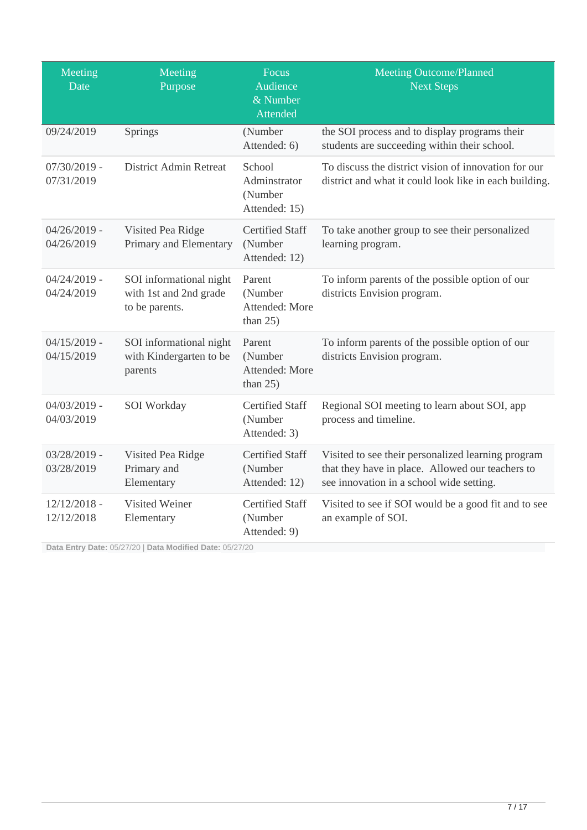| Meeting<br>Date              | Meeting<br>Purpose                                                  | Focus<br>Audience<br>& Number<br>Attended          | <b>Meeting Outcome/Planned</b><br><b>Next Steps</b>                                                                                                |
|------------------------------|---------------------------------------------------------------------|----------------------------------------------------|----------------------------------------------------------------------------------------------------------------------------------------------------|
| 09/24/2019                   | Springs                                                             | (Number<br>Attended: 6)                            | the SOI process and to display programs their<br>students are succeeding within their school.                                                      |
| $07/30/2019$ -<br>07/31/2019 | <b>District Admin Retreat</b>                                       | School<br>Adminstrator<br>(Number<br>Attended: 15) | To discuss the district vision of innovation for our<br>district and what it could look like in each building.                                     |
| $04/26/2019$ -<br>04/26/2019 | Visited Pea Ridge<br>Primary and Elementary                         | <b>Certified Staff</b><br>(Number<br>Attended: 12) | To take another group to see their personalized<br>learning program.                                                                               |
| $04/24/2019$ -<br>04/24/2019 | SOI informational night<br>with 1st and 2nd grade<br>to be parents. | Parent<br>(Number<br>Attended: More<br>than $25$ ) | To inform parents of the possible option of our<br>districts Envision program.                                                                     |
| $04/15/2019$ -<br>04/15/2019 | SOI informational night<br>with Kindergarten to be<br>parents       | Parent<br>(Number<br>Attended: More<br>than $25$ ) | To inform parents of the possible option of our<br>districts Envision program.                                                                     |
| $04/03/2019$ -<br>04/03/2019 | SOI Workday                                                         | <b>Certified Staff</b><br>(Number<br>Attended: 3)  | Regional SOI meeting to learn about SOI, app<br>process and timeline.                                                                              |
| $03/28/2019$ -<br>03/28/2019 | Visited Pea Ridge<br>Primary and<br>Elementary                      | <b>Certified Staff</b><br>(Number<br>Attended: 12) | Visited to see their personalized learning program<br>that they have in place. Allowed our teachers to<br>see innovation in a school wide setting. |
| $12/12/2018$ -<br>12/12/2018 | Visited Weiner<br>Elementary                                        | <b>Certified Staff</b><br>(Number<br>Attended: 9)  | Visited to see if SOI would be a good fit and to see<br>an example of SOI.                                                                         |

**Data Entry Date:** 05/27/20 | **Data Modified Date:** 05/27/20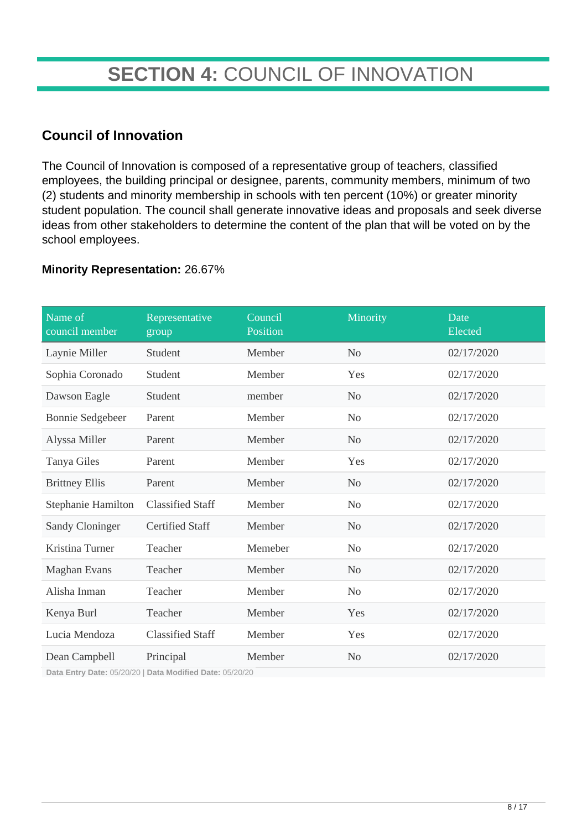## **SECTION 4:** COUNCIL OF INNOVATION

### **Council of Innovation**

The Council of Innovation is composed of a representative group of teachers, classified employees, the building principal or designee, parents, community members, minimum of two (2) students and minority membership in schools with ten percent (10%) or greater minority student population. The council shall generate innovative ideas and proposals and seek diverse ideas from other stakeholders to determine the content of the plan that will be voted on by the school employees.

#### **Minority Representation:** 26.67%

| Name of<br>council member | Representative<br>group | Council<br>Position | Minority       | Date<br>Elected |
|---------------------------|-------------------------|---------------------|----------------|-----------------|
| Laynie Miller             | Student                 | Member              | N <sub>o</sub> | 02/17/2020      |
| Sophia Coronado           | Student                 | Member              | Yes            | 02/17/2020      |
| Dawson Eagle              | Student                 | member              | N <sub>o</sub> | 02/17/2020      |
| <b>Bonnie Sedgebeer</b>   | Parent                  | Member              | N <sub>o</sub> | 02/17/2020      |
| Alyssa Miller             | Parent                  | Member              | N <sub>0</sub> | 02/17/2020      |
| Tanya Giles               | Parent                  | Member              | Yes            | 02/17/2020      |
| <b>Brittney Ellis</b>     | Parent                  | Member              | N <sub>o</sub> | 02/17/2020      |
| Stephanie Hamilton        | <b>Classified Staff</b> | Member              | N <sub>o</sub> | 02/17/2020      |
| <b>Sandy Cloninger</b>    | <b>Certified Staff</b>  | Member              | N <sub>o</sub> | 02/17/2020      |
| Kristina Turner           | Teacher                 | Memeber             | N <sub>o</sub> | 02/17/2020      |
| <b>Maghan Evans</b>       | Teacher                 | Member              | N <sub>o</sub> | 02/17/2020      |
| Alisha Inman              | Teacher                 | Member              | N <sub>o</sub> | 02/17/2020      |
| Kenya Burl                | Teacher                 | Member              | Yes            | 02/17/2020      |
| Lucia Mendoza             | <b>Classified Staff</b> | Member              | Yes            | 02/17/2020      |
| Dean Campbell             | Principal               | Member              | N <sub>o</sub> | 02/17/2020      |

**Data Entry Date:** 05/20/20 | **Data Modified Date:** 05/20/20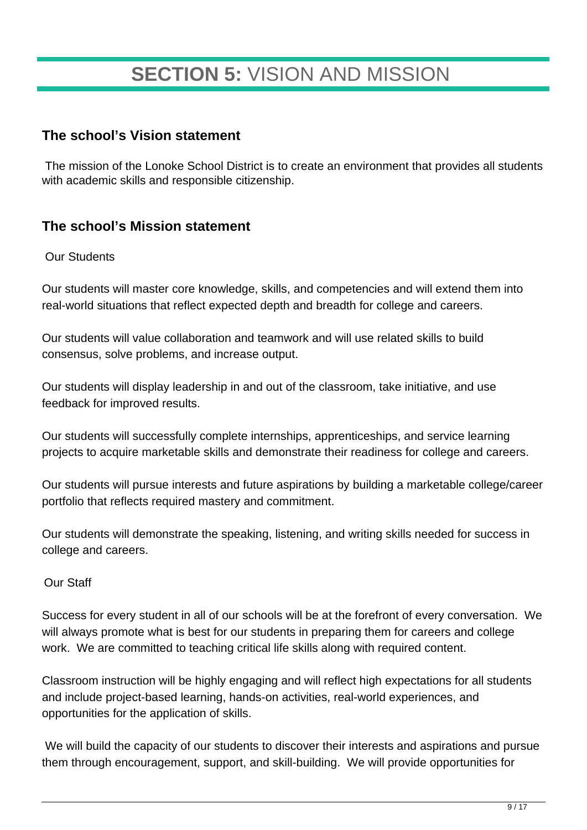## **SECTION 5:** VISION AND MISSION

### **The school's Vision statement**

The mission of the Lonoke School District is to create an environment that provides all students with academic skills and responsible citizenship.

### **The school's Mission statement**

#### Our Students

Our students will master core knowledge, skills, and competencies and will extend them into real-world situations that reflect expected depth and breadth for college and careers.

Our students will value collaboration and teamwork and will use related skills to build consensus, solve problems, and increase output.

Our students will display leadership in and out of the classroom, take initiative, and use feedback for improved results.

Our students will successfully complete internships, apprenticeships, and service learning projects to acquire marketable skills and demonstrate their readiness for college and careers.

Our students will pursue interests and future aspirations by building a marketable college/career portfolio that reflects required mastery and commitment.

Our students will demonstrate the speaking, listening, and writing skills needed for success in college and careers.

#### Our Staff

Success for every student in all of our schools will be at the forefront of every conversation. We will always promote what is best for our students in preparing them for careers and college work. We are committed to teaching critical life skills along with required content.

Classroom instruction will be highly engaging and will reflect high expectations for all students and include project-based learning, hands-on activities, real-world experiences, and opportunities for the application of skills.

We will build the capacity of our students to discover their interests and aspirations and pursue them through encouragement, support, and skill-building. We will provide opportunities for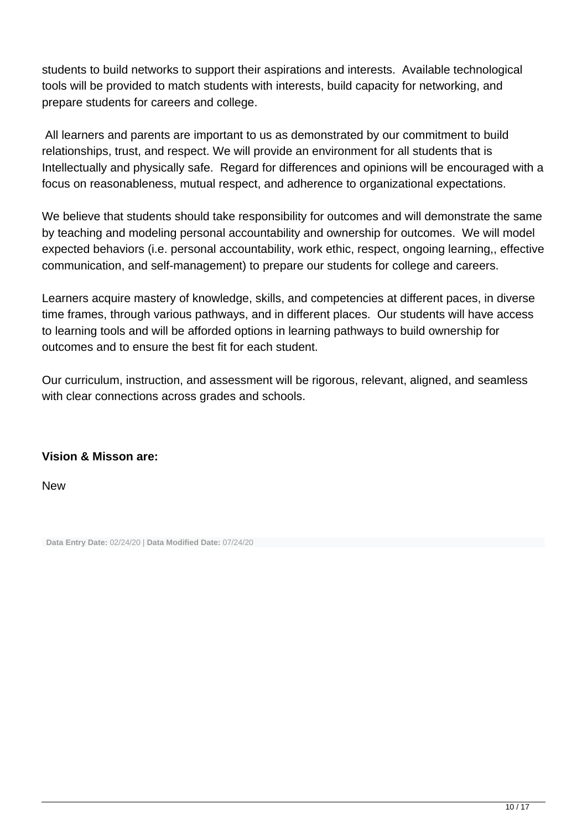students to build networks to support their aspirations and interests. Available technological tools will be provided to match students with interests, build capacity for networking, and prepare students for careers and college.

All learners and parents are important to us as demonstrated by our commitment to build relationships, trust, and respect. We will provide an environment for all students that is Intellectually and physically safe. Regard for differences and opinions will be encouraged with a focus on reasonableness, mutual respect, and adherence to organizational expectations.

We believe that students should take responsibility for outcomes and will demonstrate the same by teaching and modeling personal accountability and ownership for outcomes. We will model expected behaviors (i.e. personal accountability, work ethic, respect, ongoing learning,, effective communication, and self-management) to prepare our students for college and careers.

Learners acquire mastery of knowledge, skills, and competencies at different paces, in diverse time frames, through various pathways, and in different places. Our students will have access to learning tools and will be afforded options in learning pathways to build ownership for outcomes and to ensure the best fit for each student.

Our curriculum, instruction, and assessment will be rigorous, relevant, aligned, and seamless with clear connections across grades and schools.

#### **Vision & Misson are:**

**New** 

**Data Entry Date:** 02/24/20 | **Data Modified Date:** 07/24/20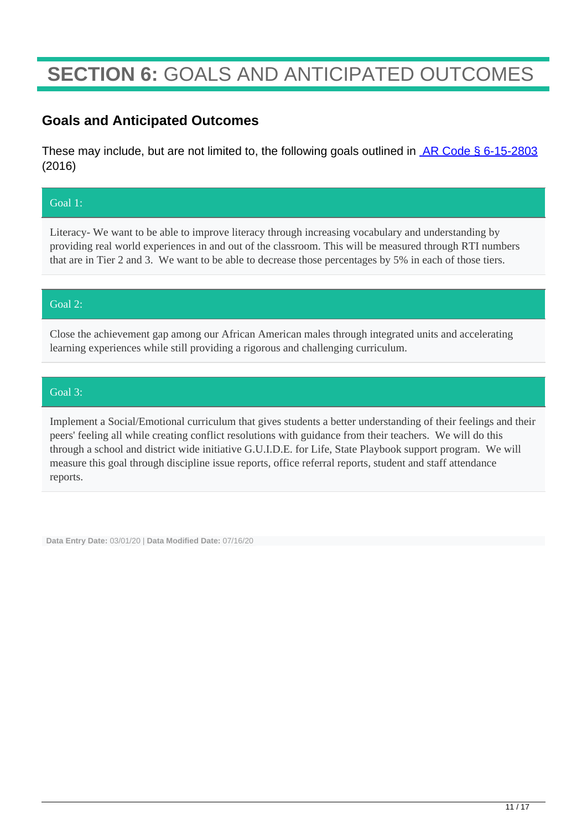## **SECTION 6:** GOALS AND ANTICIPATED OUTCOMES

### **Goals and Anticipated Outcomes**

These may include, but are not limited to, the following goals outlined in **AR Code § 6-15-2803** (2016)

#### Goal 1:

Literacy- We want to be able to improve literacy through increasing vocabulary and understanding by providing real world experiences in and out of the classroom. This will be measured through RTI numbers that are in Tier 2 and 3. We want to be able to decrease those percentages by 5% in each of those tiers.

#### Goal 2:

Close the achievement gap among our African American males through integrated units and accelerating learning experiences while still providing a rigorous and challenging curriculum.

#### Goal 3:

Implement a Social/Emotional curriculum that gives students a better understanding of their feelings and their peers' feeling all while creating conflict resolutions with guidance from their teachers. We will do this through a school and district wide initiative G.U.I.D.E. for Life, State Playbook support program. We will measure this goal through discipline issue reports, office referral reports, student and staff attendance reports.

**Data Entry Date:** 03/01/20 | **Data Modified Date:** 07/16/20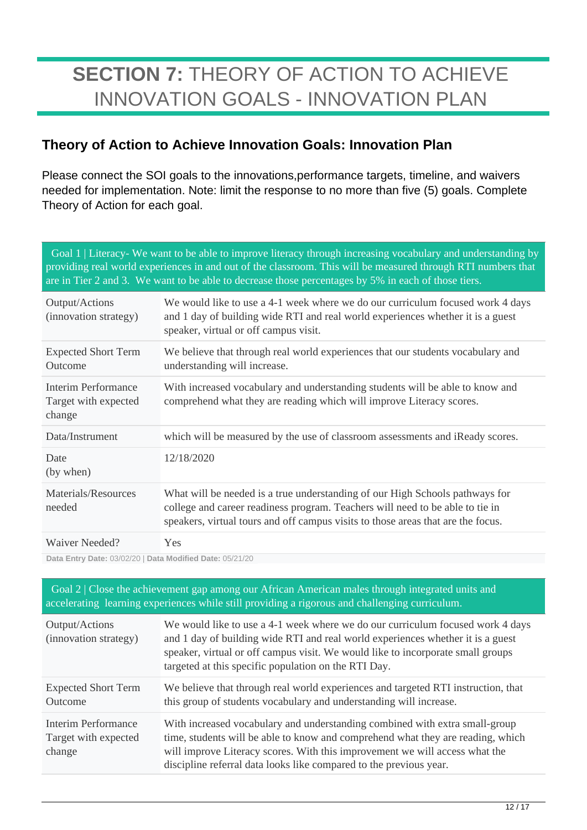## **SECTION 7:** THEORY OF ACTION TO ACHIEVE INNOVATION GOALS - INNOVATION PLAN

### **Theory of Action to Achieve Innovation Goals: Innovation Plan**

Please connect the SOI goals to the innovations,performance targets, timeline, and waivers needed for implementation. Note: limit the response to no more than five (5) goals. Complete Theory of Action for each goal.

| Goal 1   Literacy- We want to be able to improve literacy through increasing vocabulary and understanding by<br>providing real world experiences in and out of the classroom. This will be measured through RTI numbers that<br>are in Tier 2 and 3. We want to be able to decrease those percentages by 5% in each of those tiers. |                                                                                                                                                                                                                                                   |  |  |
|-------------------------------------------------------------------------------------------------------------------------------------------------------------------------------------------------------------------------------------------------------------------------------------------------------------------------------------|---------------------------------------------------------------------------------------------------------------------------------------------------------------------------------------------------------------------------------------------------|--|--|
| Output/Actions<br>(innovation strategy)                                                                                                                                                                                                                                                                                             | We would like to use a 4-1 week where we do our curriculum focused work 4 days<br>and 1 day of building wide RTI and real world experiences whether it is a guest<br>speaker, virtual or off campus visit.                                        |  |  |
| <b>Expected Short Term</b><br>Outcome                                                                                                                                                                                                                                                                                               | We believe that through real world experiences that our students vocabulary and<br>understanding will increase.                                                                                                                                   |  |  |
| <b>Interim Performance</b><br>Target with expected<br>change                                                                                                                                                                                                                                                                        | With increased vocabulary and understanding students will be able to know and<br>comprehend what they are reading which will improve Literacy scores.                                                                                             |  |  |
| Data/Instrument                                                                                                                                                                                                                                                                                                                     | which will be measured by the use of classroom assessments and iReady scores.                                                                                                                                                                     |  |  |
| Date<br>(by when)                                                                                                                                                                                                                                                                                                                   | 12/18/2020                                                                                                                                                                                                                                        |  |  |
| Materials/Resources<br>needed                                                                                                                                                                                                                                                                                                       | What will be needed is a true understanding of our High Schools pathways for<br>college and career readiness program. Teachers will need to be able to tie in<br>speakers, virtual tours and off campus visits to those areas that are the focus. |  |  |
| <b>Waiver Needed?</b>                                                                                                                                                                                                                                                                                                               | Yes                                                                                                                                                                                                                                               |  |  |
|                                                                                                                                                                                                                                                                                                                                     |                                                                                                                                                                                                                                                   |  |  |

**Data Entry Date:** 03/02/20 | **Data Modified Date:** 05/21/20

 Goal 2 | Close the achievement gap among our African American males through integrated units and accelerating learning experiences while still providing a rigorous and challenging curriculum. Output/Actions (innovation strategy) We would like to use a 4-1 week where we do our curriculum focused work 4 days and 1 day of building wide RTI and real world experiences whether it is a guest speaker, virtual or off campus visit. We would like to incorporate small groups targeted at this specific population on the RTI Day. Expected Short Term Outcome We believe that through real world experiences and targeted RTI instruction, that this group of students vocabulary and understanding will increase. Interim Performance Target with expected change With increased vocabulary and understanding combined with extra small-group time, students will be able to know and comprehend what they are reading, which will improve Literacy scores. With this improvement we will access what the discipline referral data looks like compared to the previous year.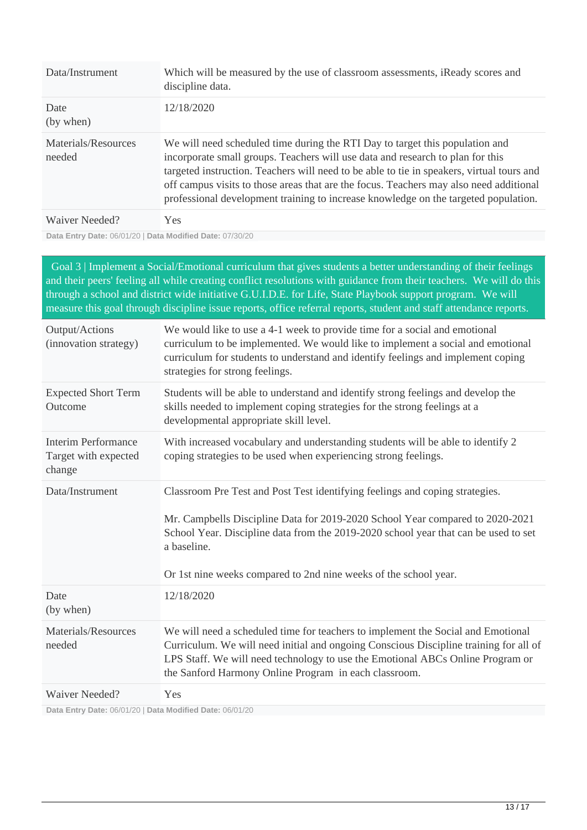| Data/Instrument               | Which will be measured by the use of classroom assessments, iReady scores and<br>discipline data.                                                                                                                                                                                                                                                                                                                                            |
|-------------------------------|----------------------------------------------------------------------------------------------------------------------------------------------------------------------------------------------------------------------------------------------------------------------------------------------------------------------------------------------------------------------------------------------------------------------------------------------|
| Date<br>(by when)             | 12/18/2020                                                                                                                                                                                                                                                                                                                                                                                                                                   |
| Materials/Resources<br>needed | We will need scheduled time during the RTI Day to target this population and<br>incorporate small groups. Teachers will use data and research to plan for this<br>targeted instruction. Teachers will need to be able to tie in speakers, virtual tours and<br>off campus visits to those areas that are the focus. Teachers may also need additional<br>professional development training to increase knowledge on the targeted population. |
| Waiver Needed?                | Yes.                                                                                                                                                                                                                                                                                                                                                                                                                                         |

**Data Entry Date:** 06/01/20 | **Data Modified Date:** 07/30/20

 Goal 3 | Implement a Social/Emotional curriculum that gives students a better understanding of their feelings and their peers' feeling all while creating conflict resolutions with guidance from their teachers. We will do this through a school and district wide initiative G.U.I.D.E. for Life, State Playbook support program. We will measure this goal through discipline issue reports, office referral reports, student and staff attendance reports.

| Output/Actions<br>(innovation strategy)                      | We would like to use a 4-1 week to provide time for a social and emotional<br>curriculum to be implemented. We would like to implement a social and emotional<br>curriculum for students to understand and identify feelings and implement coping<br>strategies for strong feelings.                                                    |
|--------------------------------------------------------------|-----------------------------------------------------------------------------------------------------------------------------------------------------------------------------------------------------------------------------------------------------------------------------------------------------------------------------------------|
| <b>Expected Short Term</b><br>Outcome                        | Students will be able to understand and identify strong feelings and develop the<br>skills needed to implement coping strategies for the strong feelings at a<br>developmental appropriate skill level.                                                                                                                                 |
| <b>Interim Performance</b><br>Target with expected<br>change | With increased vocabulary and understanding students will be able to identify 2<br>coping strategies to be used when experiencing strong feelings.                                                                                                                                                                                      |
| Data/Instrument                                              | Classroom Pre Test and Post Test identifying feelings and coping strategies.<br>Mr. Campbells Discipline Data for 2019-2020 School Year compared to 2020-2021<br>School Year. Discipline data from the 2019-2020 school year that can be used to set<br>a baseline.<br>Or 1st nine weeks compared to 2nd nine weeks of the school year. |
| Date<br>(by when)                                            | 12/18/2020                                                                                                                                                                                                                                                                                                                              |
| Materials/Resources<br>needed                                | We will need a scheduled time for teachers to implement the Social and Emotional<br>Curriculum. We will need initial and ongoing Conscious Discipline training for all of<br>LPS Staff. We will need technology to use the Emotional ABCs Online Program or<br>the Sanford Harmony Online Program in each classroom.                    |
| <b>Waiver Needed?</b>                                        | Yes                                                                                                                                                                                                                                                                                                                                     |

**Data Entry Date:** 06/01/20 | **Data Modified Date:** 06/01/20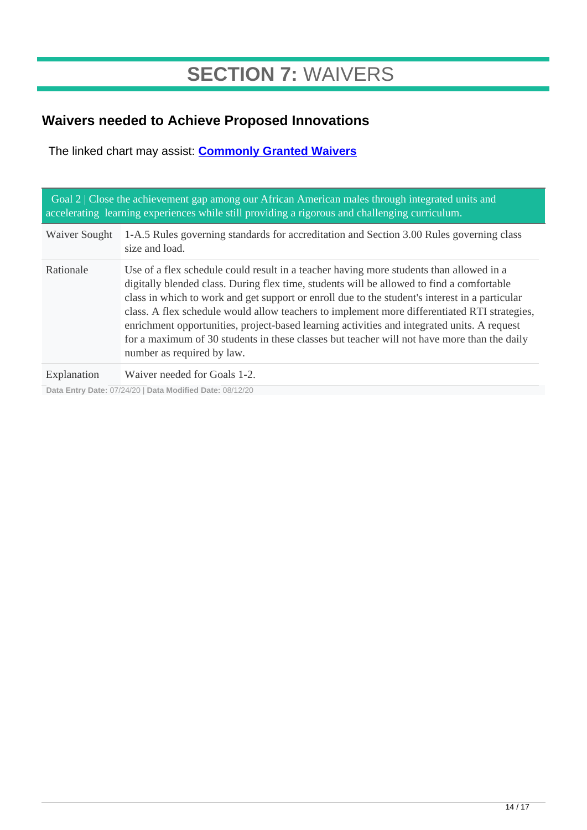## **SECTION 7:** WAIVERS

## **Waivers needed to Achieve Proposed Innovations**

The linked chart may assist: **[Commonly Granted Waivers](http://www.arkansased.gov/public/userfiles/Learning_Services/Charter%20and%20Home%20School/Charter%20School-Division%20of%20Learning%20Services/Applications/Waiver_Document.pdf)**

| Goal 2   Close the achievement gap among our African American males through integrated units and<br>accelerating learning experiences while still providing a rigorous and challenging curriculum. |                                                                                                                                                                                                                                                                                                                                                                                                                                                                                                                                                                                                                    |  |  |
|----------------------------------------------------------------------------------------------------------------------------------------------------------------------------------------------------|--------------------------------------------------------------------------------------------------------------------------------------------------------------------------------------------------------------------------------------------------------------------------------------------------------------------------------------------------------------------------------------------------------------------------------------------------------------------------------------------------------------------------------------------------------------------------------------------------------------------|--|--|
| Waiver Sought                                                                                                                                                                                      | 1-A.5 Rules governing standards for accreditation and Section 3.00 Rules governing class<br>size and load.                                                                                                                                                                                                                                                                                                                                                                                                                                                                                                         |  |  |
| Rationale                                                                                                                                                                                          | Use of a flex schedule could result in a teacher having more students than allowed in a<br>digitally blended class. During flex time, students will be allowed to find a comfortable<br>class in which to work and get support or enroll due to the student's interest in a particular<br>class. A flex schedule would allow teachers to implement more differentiated RTI strategies,<br>enrichment opportunities, project-based learning activities and integrated units. A request<br>for a maximum of 30 students in these classes but teacher will not have more than the daily<br>number as required by law. |  |  |
| Explanation                                                                                                                                                                                        | Waiver needed for Goals 1-2.                                                                                                                                                                                                                                                                                                                                                                                                                                                                                                                                                                                       |  |  |

**Data Entry Date:** 07/24/20 | **Data Modified Date:** 08/12/20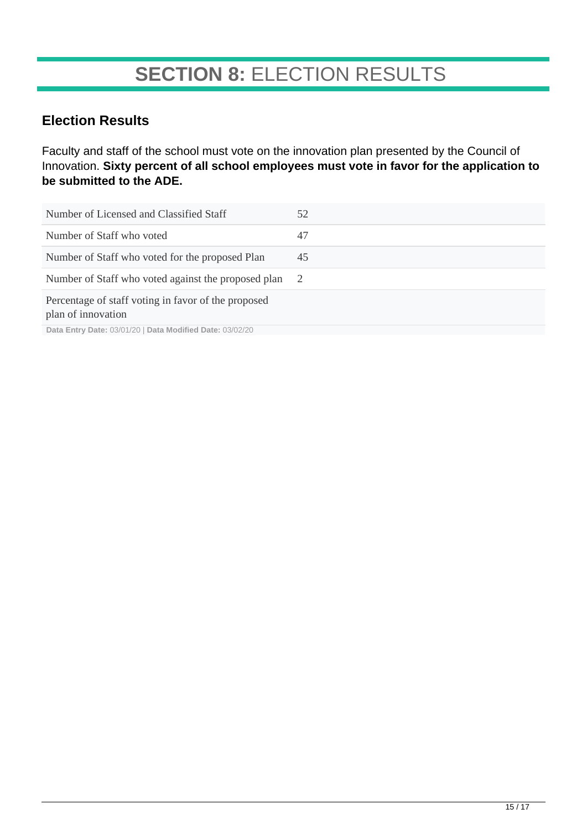## **SECTION 8:** ELECTION RESULTS

### **Election Results**

Faculty and staff of the school must vote on the innovation plan presented by the Council of Innovation. **Sixty percent of all school employees must vote in favor for the application to be submitted to the ADE.**

| Number of Licensed and Classified Staff                                                                                                                                      | 52 |
|------------------------------------------------------------------------------------------------------------------------------------------------------------------------------|----|
| Number of Staff who voted                                                                                                                                                    | 47 |
| Number of Staff who voted for the proposed Plan                                                                                                                              | 45 |
| Number of Staff who voted against the proposed plan                                                                                                                          | -2 |
| Percentage of staff voting in favor of the proposed<br>plan of innovation<br>$D - 1 = F_{11} + \ldots$ , $D - 1 = (0.001)(0.01)$ , $D - 1 = 0.0101$ , $D - 1 = (0.01)(0.01)$ |    |

**Data Entry Date:** 03/01/20 | **Data Modified Date:** 03/02/20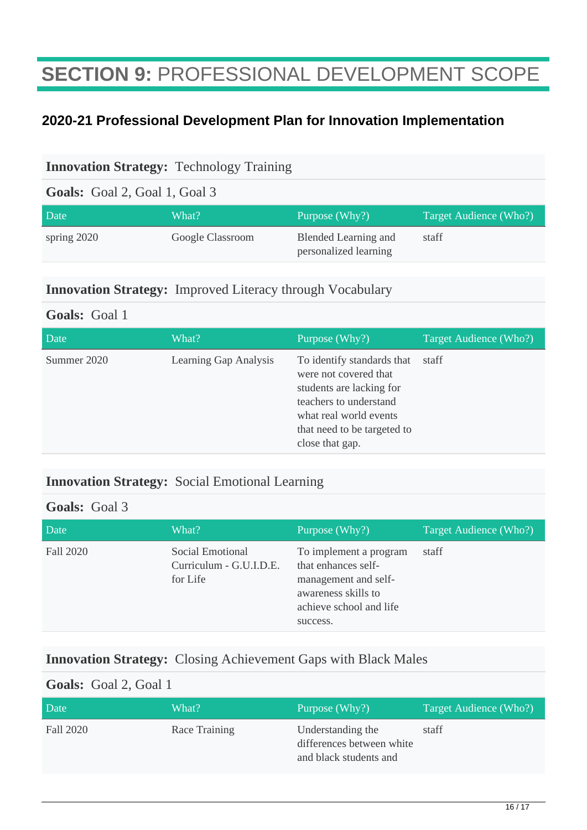## **SECTION 9:** PROFESSIONAL DEVELOPMENT SCOPE

### **2020-21 Professional Development Plan for Innovation Implementation**

#### **Innovation Strategy:** Technology Training

**Goals:** Goal 2, Goal 1, Goal 3

| Date          | What?            | Purpose (Why?)                                | Target Audience (Who?) |
|---------------|------------------|-----------------------------------------------|------------------------|
| spring $2020$ | Google Classroom | Blended Learning and<br>personalized learning | staff                  |

#### **Innovation Strategy:** Improved Literacy through Vocabulary

#### **Goals:** Goal 1

| Date        | What?                 | Purpose (Why?)                                                                                                                                                                        | Target Audience (Who?) |
|-------------|-----------------------|---------------------------------------------------------------------------------------------------------------------------------------------------------------------------------------|------------------------|
| Summer 2020 | Learning Gap Analysis | To identify standards that<br>were not covered that<br>students are lacking for<br>teachers to understand<br>what real world events<br>that need to be targeted to<br>close that gap. | staff                  |

### **Innovation Strategy:** Social Emotional Learning

#### **Goals:** Goal 3

| Date      | What?                                                   | Purpose (Why?)                                                                                                                      | Target Audience (Who?) |
|-----------|---------------------------------------------------------|-------------------------------------------------------------------------------------------------------------------------------------|------------------------|
| Fall 2020 | Social Emotional<br>Curriculum - G.U.I.D.E.<br>for Life | To implement a program<br>that enhances self-<br>management and self-<br>awareness skills to<br>achieve school and life<br>success. | staff                  |

#### **Innovation Strategy:** Closing Achievement Gaps with Black Males

#### **Goals:** Goal 2, Goal 1

| Date      | What?         | Purpose (Why?)                                                           | Target Audience (Who?) |
|-----------|---------------|--------------------------------------------------------------------------|------------------------|
| Fall 2020 | Race Training | Understanding the<br>differences between white<br>and black students and | staff                  |